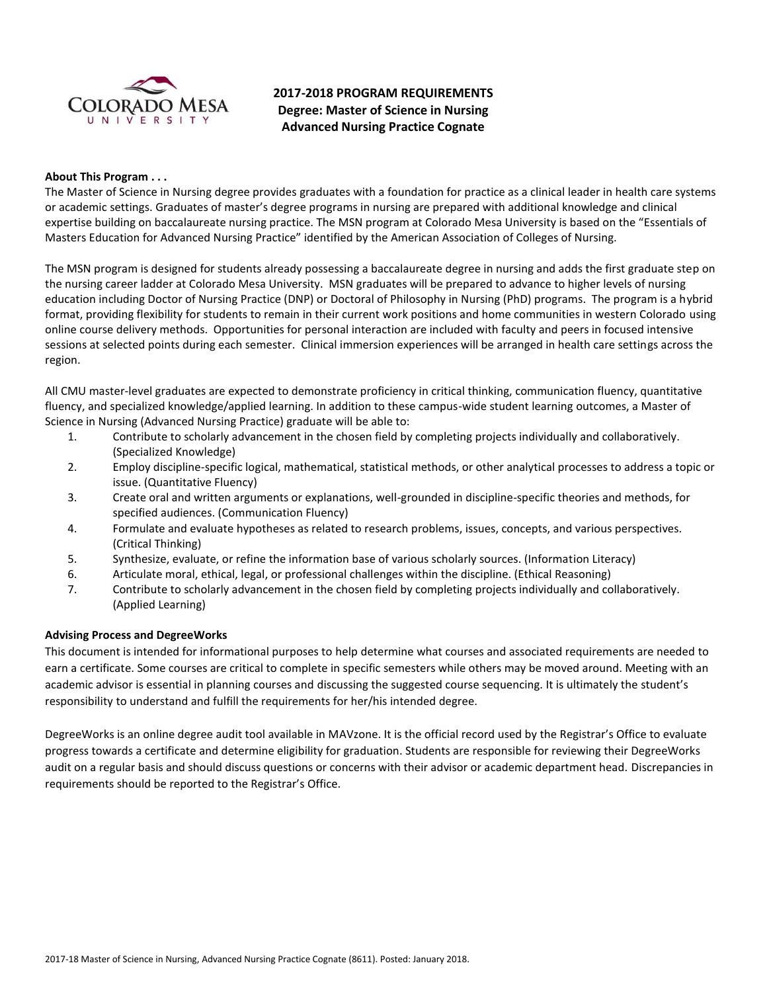

# **2017-2018 PROGRAM REQUIREMENTS Degree: Master of Science in Nursing Advanced Nursing Practice Cognate**

### **About This Program . . .**

The Master of Science in Nursing degree provides graduates with a foundation for practice as a clinical leader in health care systems or academic settings. Graduates of master's degree programs in nursing are prepared with additional knowledge and clinical expertise building on baccalaureate nursing practice. The MSN program at Colorado Mesa University is based on the "Essentials of Masters Education for Advanced Nursing Practice" identified by the American Association of Colleges of Nursing.

The MSN program is designed for students already possessing a baccalaureate degree in nursing and adds the first graduate step on the nursing career ladder at Colorado Mesa University. MSN graduates will be prepared to advance to higher levels of nursing education including Doctor of Nursing Practice (DNP) or Doctoral of Philosophy in Nursing (PhD) programs. The program is a hybrid format, providing flexibility for students to remain in their current work positions and home communities in western Colorado using online course delivery methods. Opportunities for personal interaction are included with faculty and peers in focused intensive sessions at selected points during each semester. Clinical immersion experiences will be arranged in health care settings across the region.

All CMU master-level graduates are expected to demonstrate proficiency in critical thinking, communication fluency, quantitative fluency, and specialized knowledge/applied learning. In addition to these campus-wide student learning outcomes, a Master of Science in Nursing (Advanced Nursing Practice) graduate will be able to:

- 1. Contribute to scholarly advancement in the chosen field by completing projects individually and collaboratively. (Specialized Knowledge)
- 2. Employ discipline-specific logical, mathematical, statistical methods, or other analytical processes to address a topic or issue. (Quantitative Fluency)
- 3. Create oral and written arguments or explanations, well-grounded in discipline-specific theories and methods, for specified audiences. (Communication Fluency)
- 4. Formulate and evaluate hypotheses as related to research problems, issues, concepts, and various perspectives. (Critical Thinking)
- 5. Synthesize, evaluate, or refine the information base of various scholarly sources. (Information Literacy)
- 6. Articulate moral, ethical, legal, or professional challenges within the discipline. (Ethical Reasoning)
- 7. Contribute to scholarly advancement in the chosen field by completing projects individually and collaboratively. (Applied Learning)

# **Advising Process and DegreeWorks**

This document is intended for informational purposes to help determine what courses and associated requirements are needed to earn a certificate. Some courses are critical to complete in specific semesters while others may be moved around. Meeting with an academic advisor is essential in planning courses and discussing the suggested course sequencing. It is ultimately the student's responsibility to understand and fulfill the requirements for her/his intended degree.

DegreeWorks is an online degree audit tool available in MAVzone. It is the official record used by the Registrar's Office to evaluate progress towards a certificate and determine eligibility for graduation. Students are responsible for reviewing their DegreeWorks audit on a regular basis and should discuss questions or concerns with their advisor or academic department head. Discrepancies in requirements should be reported to the Registrar's Office.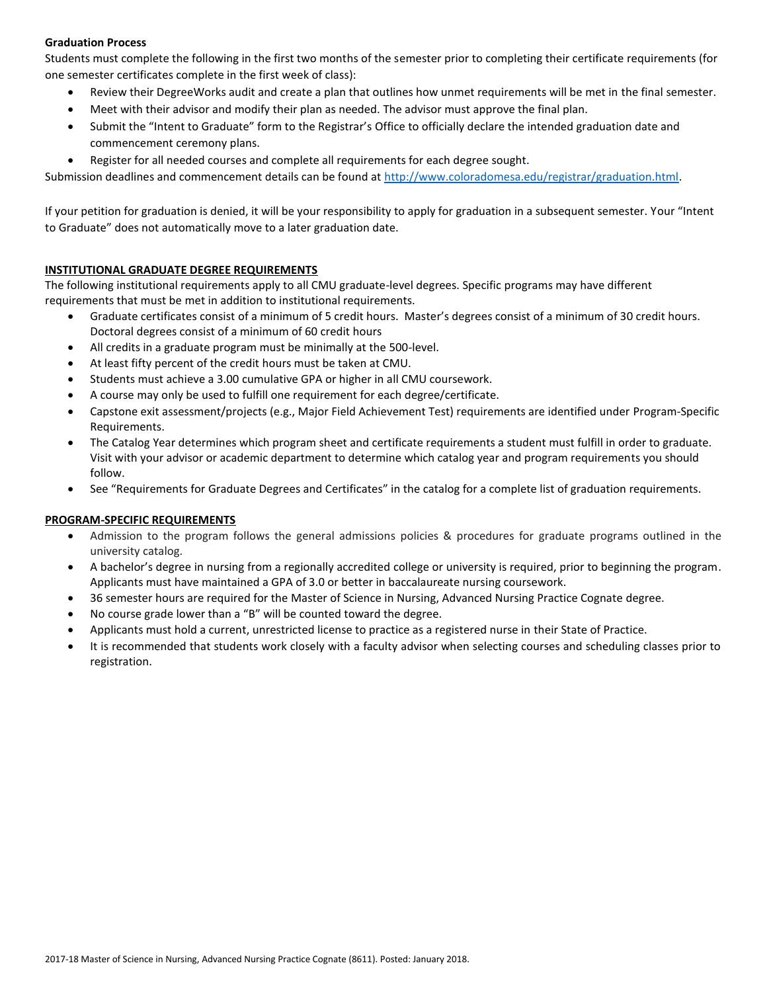# **Graduation Process**

Students must complete the following in the first two months of the semester prior to completing their certificate requirements (for one semester certificates complete in the first week of class):

- Review their DegreeWorks audit and create a plan that outlines how unmet requirements will be met in the final semester.
- Meet with their advisor and modify their plan as needed. The advisor must approve the final plan.
- Submit the "Intent to Graduate" form to the Registrar's Office to officially declare the intended graduation date and commencement ceremony plans.
- Register for all needed courses and complete all requirements for each degree sought.

Submission deadlines and commencement details can be found at [http://www.coloradomesa.edu/registrar/graduation.html.](http://www.coloradomesa.edu/registrar/graduation.html)

If your petition for graduation is denied, it will be your responsibility to apply for graduation in a subsequent semester. Your "Intent to Graduate" does not automatically move to a later graduation date.

## **INSTITUTIONAL GRADUATE DEGREE REQUIREMENTS**

The following institutional requirements apply to all CMU graduate-level degrees. Specific programs may have different requirements that must be met in addition to institutional requirements.

- Graduate certificates consist of a minimum of 5 credit hours. Master's degrees consist of a minimum of 30 credit hours. Doctoral degrees consist of a minimum of 60 credit hours
- All credits in a graduate program must be minimally at the 500-level.
- At least fifty percent of the credit hours must be taken at CMU.
- Students must achieve a 3.00 cumulative GPA or higher in all CMU coursework.
- A course may only be used to fulfill one requirement for each degree/certificate.
- Capstone exit assessment/projects (e.g., Major Field Achievement Test) requirements are identified under Program-Specific Requirements.
- The Catalog Year determines which program sheet and certificate requirements a student must fulfill in order to graduate. Visit with your advisor or academic department to determine which catalog year and program requirements you should follow.
- See "Requirements for Graduate Degrees and Certificates" in the catalog for a complete list of graduation requirements.

#### **PROGRAM-SPECIFIC REQUIREMENTS**

- Admission to the program follows the general admissions policies & procedures for graduate programs outlined in the university catalog.
- A bachelor's degree in nursing from a regionally accredited college or university is required, prior to beginning the program. Applicants must have maintained a GPA of 3.0 or better in baccalaureate nursing coursework.
- 36 semester hours are required for the Master of Science in Nursing, Advanced Nursing Practice Cognate degree.
- No course grade lower than a "B" will be counted toward the degree.
- Applicants must hold a current, unrestricted license to practice as a registered nurse in their State of Practice.
- It is recommended that students work closely with a faculty advisor when selecting courses and scheduling classes prior to registration.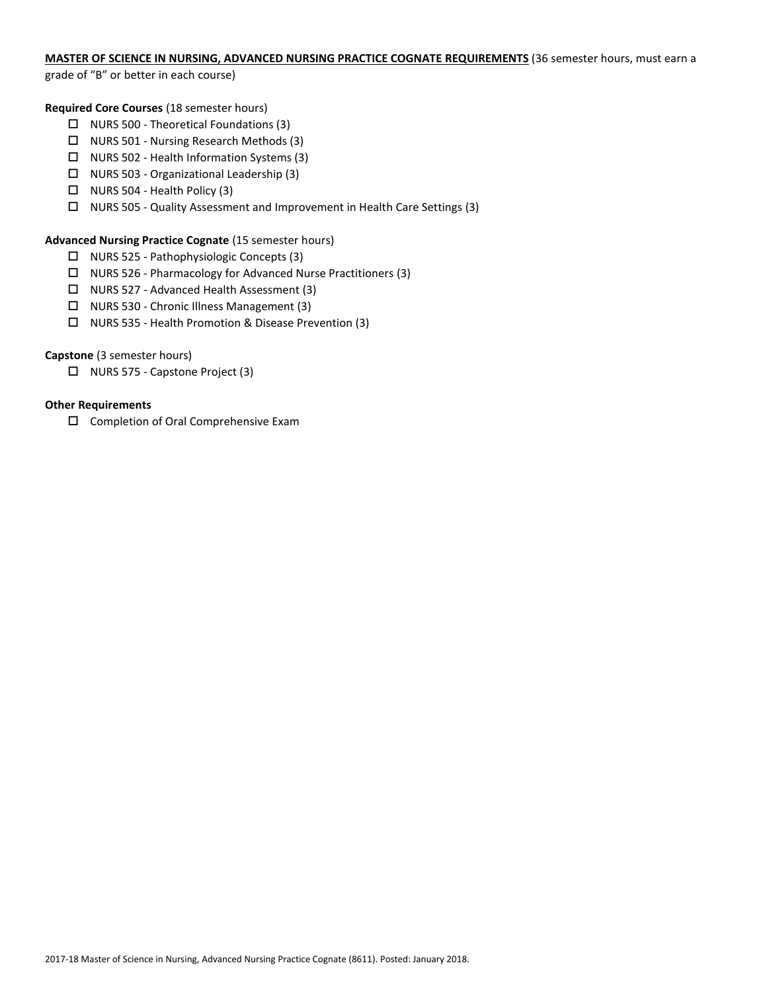# **MASTER OF SCIENCE IN NURSING, ADVANCED NURSING PRACTICE COGNATE REQUIREMENTS** (36 semester hours, must earn a

grade of "B" or better in each course)

### **Required Core Courses** (18 semester hours)

- $\Box$  NURS 500 Theoretical Foundations (3)
- $\Box$  NURS 501 Nursing Research Methods (3)
- NURS 502 Health Information Systems (3)
- $\Box$  NURS 503 Organizational Leadership (3)
- $\Box$  NURS 504 Health Policy (3)
- NURS 505 Quality Assessment and Improvement in Health Care Settings (3)

## **Advanced Nursing Practice Cognate** (15 semester hours)

- NURS 525 Pathophysiologic Concepts (3)
- NURS 526 Pharmacology for Advanced Nurse Practitioners (3)
- NURS 527 Advanced Health Assessment (3)
- □ NURS 530 Chronic Illness Management (3)
- NURS 535 Health Promotion & Disease Prevention (3)

# **Capstone** (3 semester hours)

□ NURS 575 - Capstone Project (3)

## **Other Requirements**

□ Completion of Oral Comprehensive Exam